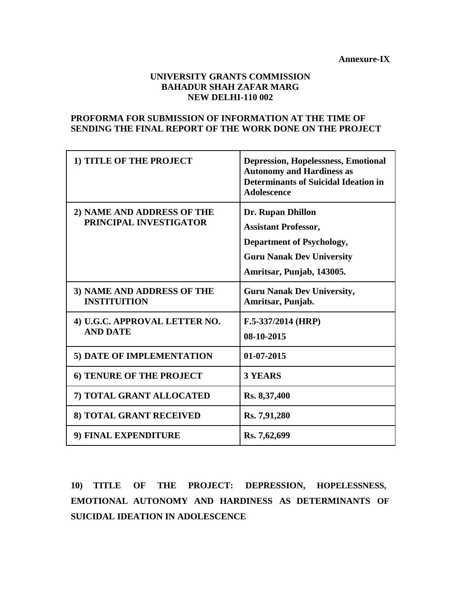**Annexure-IX**

# **UNIVERSITY GRANTS COMMISSION BAHADUR SHAH ZAFAR MARG NEW DELHI-110 002**

# **PROFORMA FOR SUBMISSION OF INFORMATION AT THE TIME OF SENDING THE FINAL REPORT OF THE WORK DONE ON THE PROJECT**

| 1) TITLE OF THE PROJECT                              | <b>Depression, Hopelessness, Emotional</b><br><b>Autonomy and Hardiness as</b><br><b>Determinants of Suicidal Ideation in</b><br><b>Adolescence</b>          |
|------------------------------------------------------|--------------------------------------------------------------------------------------------------------------------------------------------------------------|
| 2) NAME AND ADDRESS OF THE<br>PRINCIPAL INVESTIGATOR | <b>Dr. Rupan Dhillon</b><br><b>Assistant Professor,</b><br><b>Department of Psychology,</b><br><b>Guru Nanak Dev University</b><br>Amritsar, Punjab, 143005. |
| 3) NAME AND ADDRESS OF THE<br><b>INSTITUITION</b>    | <b>Guru Nanak Dev University,</b><br>Amritsar, Punjab.                                                                                                       |
| 4) U.G.C. APPROVAL LETTER NO.<br><b>AND DATE</b>     | $F.5-337/2014$ (HRP)<br>08-10-2015                                                                                                                           |
| 5) DATE OF IMPLEMENTATION                            | 01-07-2015                                                                                                                                                   |
| <b>6) TENURE OF THE PROJECT</b>                      | <b>3 YEARS</b>                                                                                                                                               |
| 7) TOTAL GRANT ALLOCATED                             | Rs. 8,37,400                                                                                                                                                 |
| 8) TOTAL GRANT RECEIVED                              | Rs. 7,91,280                                                                                                                                                 |
| 9) FINAL EXPENDITURE                                 | Rs. 7,62,699                                                                                                                                                 |

**10) TITLE OF THE PROJECT: DEPRESSION, HOPELESSNESS, EMOTIONAL AUTONOMY AND HARDINESS AS DETERMINANTS OF SUICIDAL IDEATION IN ADOLESCENCE**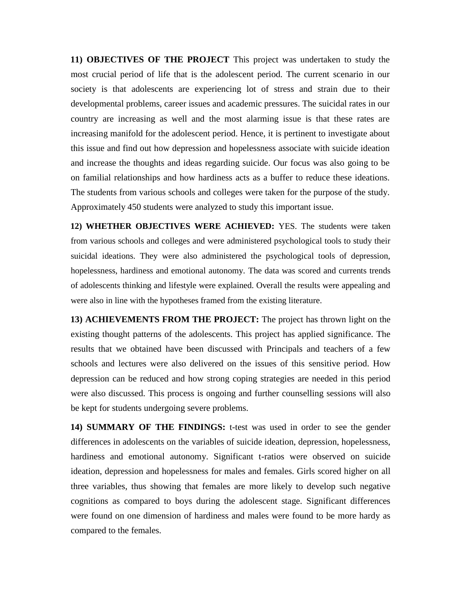**11) OBJECTIVES OF THE PROJECT** This project was undertaken to study the most crucial period of life that is the adolescent period. The current scenario in our society is that adolescents are experiencing lot of stress and strain due to their developmental problems, career issues and academic pressures. The suicidal rates in our country are increasing as well and the most alarming issue is that these rates are increasing manifold for the adolescent period. Hence, it is pertinent to investigate about this issue and find out how depression and hopelessness associate with suicide ideation and increase the thoughts and ideas regarding suicide. Our focus was also going to be on familial relationships and how hardiness acts as a buffer to reduce these ideations. The students from various schools and colleges were taken for the purpose of the study. Approximately 450 students were analyzed to study this important issue.

**12) WHETHER OBJECTIVES WERE ACHIEVED:** YES. The students were taken from various schools and colleges and were administered psychological tools to study their suicidal ideations. They were also administered the psychological tools of depression, hopelessness, hardiness and emotional autonomy. The data was scored and currents trends of adolescents thinking and lifestyle were explained. Overall the results were appealing and were also in line with the hypotheses framed from the existing literature.

**13) ACHIEVEMENTS FROM THE PROJECT:** The project has thrown light on the existing thought patterns of the adolescents. This project has applied significance. The results that we obtained have been discussed with Principals and teachers of a few schools and lectures were also delivered on the issues of this sensitive period. How depression can be reduced and how strong coping strategies are needed in this period were also discussed. This process is ongoing and further counselling sessions will also be kept for students undergoing severe problems.

**14) SUMMARY OF THE FINDINGS:** t-test was used in order to see the gender differences in adolescents on the variables of suicide ideation, depression, hopelessness, hardiness and emotional autonomy. Significant t-ratios were observed on suicide ideation, depression and hopelessness for males and females. Girls scored higher on all three variables, thus showing that females are more likely to develop such negative cognitions as compared to boys during the adolescent stage. Significant differences were found on one dimension of hardiness and males were found to be more hardy as compared to the females.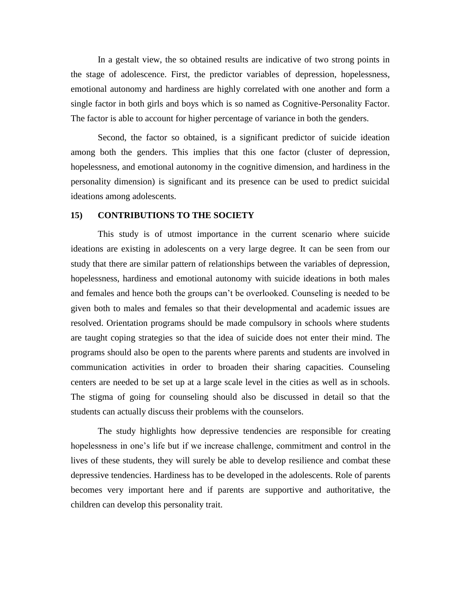In a gestalt view, the so obtained results are indicative of two strong points in the stage of adolescence. First, the predictor variables of depression, hopelessness, emotional autonomy and hardiness are highly correlated with one another and form a single factor in both girls and boys which is so named as Cognitive-Personality Factor. The factor is able to account for higher percentage of variance in both the genders.

Second, the factor so obtained, is a significant predictor of suicide ideation among both the genders. This implies that this one factor (cluster of depression, hopelessness, and emotional autonomy in the cognitive dimension, and hardiness in the personality dimension) is significant and its presence can be used to predict suicidal ideations among adolescents.

### **15) CONTRIBUTIONS TO THE SOCIETY**

This study is of utmost importance in the current scenario where suicide ideations are existing in adolescents on a very large degree. It can be seen from our study that there are similar pattern of relationships between the variables of depression, hopelessness, hardiness and emotional autonomy with suicide ideations in both males and females and hence both the groups can't be overlooked. Counseling is needed to be given both to males and females so that their developmental and academic issues are resolved. Orientation programs should be made compulsory in schools where students are taught coping strategies so that the idea of suicide does not enter their mind. The programs should also be open to the parents where parents and students are involved in communication activities in order to broaden their sharing capacities. Counseling centers are needed to be set up at a large scale level in the cities as well as in schools. The stigma of going for counseling should also be discussed in detail so that the students can actually discuss their problems with the counselors.

The study highlights how depressive tendencies are responsible for creating hopelessness in one's life but if we increase challenge, commitment and control in the lives of these students, they will surely be able to develop resilience and combat these depressive tendencies. Hardiness has to be developed in the adolescents. Role of parents becomes very important here and if parents are supportive and authoritative, the children can develop this personality trait.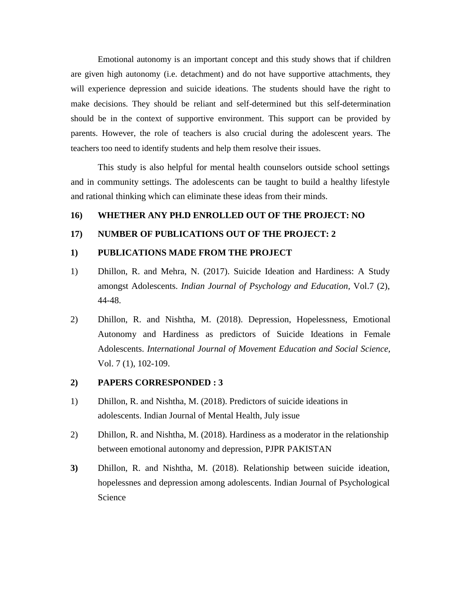Emotional autonomy is an important concept and this study shows that if children are given high autonomy (i.e. detachment) and do not have supportive attachments, they will experience depression and suicide ideations. The students should have the right to make decisions. They should be reliant and self-determined but this self-determination should be in the context of supportive environment. This support can be provided by parents. However, the role of teachers is also crucial during the adolescent years. The teachers too need to identify students and help them resolve their issues.

This study is also helpful for mental health counselors outside school settings and in community settings. The adolescents can be taught to build a healthy lifestyle and rational thinking which can eliminate these ideas from their minds.

# **16) WHETHER ANY PH.D ENROLLED OUT OF THE PROJECT: NO**

### **17) NUMBER OF PUBLICATIONS OUT OF THE PROJECT: 2**

#### **1) PUBLICATIONS MADE FROM THE PROJECT**

- 1) Dhillon, R. and Mehra, N. (2017). Suicide Ideation and Hardiness: A Study amongst Adolescents. *Indian Journal of Psychology and Education,* Vol.7 (2), 44-48.
- 2) Dhillon, R. and Nishtha, M. (2018). Depression, Hopelessness, Emotional Autonomy and Hardiness as predictors of Suicide Ideations in Female Adolescents. *International Journal of Movement Education and Social Science,* Vol. 7 (1), 102-109.

### **2) PAPERS CORRESPONDED : 3**

- 1) Dhillon, R. and Nishtha, M. (2018). Predictors of suicide ideations in adolescents. Indian Journal of Mental Health, July issue
- 2) Dhillon, R. and Nishtha, M. (2018). Hardiness as a moderator in the relationship between emotional autonomy and depression, PJPR PAKISTAN
- **3)** Dhillon, R. and Nishtha, M. (2018). Relationship between suicide ideation, hopelessnes and depression among adolescents. Indian Journal of Psychological Science